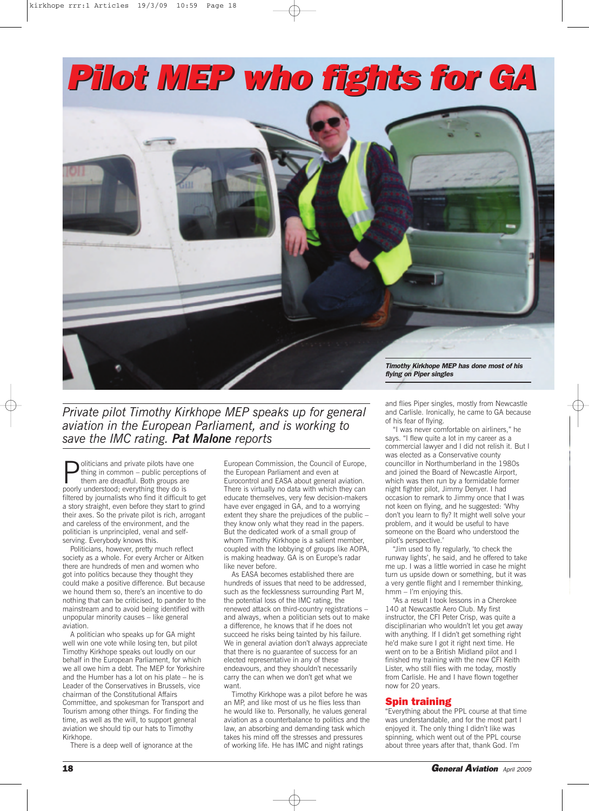

*Private pilot Timothy Kirkhope MEP speaks up for general aviation in the European Parliament, and is working to save the IMC rating. Pat Malone reports*

 $\sum$  oliticians and private pilots have one<br>thing in common – public perceptior<br>them are dreadful. Both groups are<br>poorly understood, overything they do is thing in common – public perceptions of them are dreadful. Both groups are poorly understood; everything they do is filtered by journalists who find it difficult to get a story straight, even before they start to grind their axes. So the private pilot is rich, arrogant and careless of the environment, and the politician is unprincipled, venal and selfserving. Everybody knows this.

Politicians, however, pretty much reflect society as a whole. For every Archer or Aitken there are hundreds of men and women who got into politics because they thought they could make a positive difference. But because we hound them so, there's an incentive to do nothing that can be criticised, to pander to the mainstream and to avoid being identified with unpopular minority causes – like general aviation.

A politician who speaks up for GA might well win one vote while losing ten, but pilot Timothy Kirkhope speaks out loudly on our behalf in the European Parliament, for which we all owe him a debt. The MEP for Yorkshire and the Humber has a lot on his plate – he is Leader of the Conservatives in Brussels, vice chairman of the Constitutional Affairs Committee, and spokesman for Transport and Tourism among other things. For finding the time, as well as the will, to support general aviation we should tip our hats to Timothy Kirkhope.

There is a deep well of ignorance at the

European Commission, the Council of Europe, the European Parliament and even at Eurocontrol and EASA about general aviation. There is virtually no data with which they can educate themselves, very few decision-makers have ever engaged in GA, and to a worrying extent they share the prejudices of the public – they know only what they read in the papers. But the dedicated work of a small group of whom Timothy Kirkhope is a salient member, coupled with the lobbying of groups like AOPA, is making headway. GA is on Europe's radar like never before.

As EASA becomes established there are hundreds of issues that need to be addressed, such as the fecklessness surrounding Part M, the potential loss of the IMC rating, the renewed attack on third-country registrations – and always, when a politician sets out to make a difference, he knows that if he does not succeed he risks being tainted by his failure. We in general aviation don't always appreciate that there is no guarantee of success for an elected representative in any of these endeavours, and they shouldn't necessarily carry the can when we don't get what we want.

Timothy Kirkhope was a pilot before he was an MP, and like most of us he flies less than he would like to. Personally, he values general aviation as a counterbalance to politics and the law, an absorbing and demanding task which takes his mind off the stresses and pressures of working life. He has IMC and night ratings

and flies Piper singles, mostly from Newcastle

and Carlisle. Ironically, he came to GA because of his fear of flying.

"I was never comfortable on airliners," he says. "I flew quite a lot in my career as a commercial lawyer and I did not relish it. But I was elected as a Conservative county councillor in Northumberland in the 1980s and joined the Board of Newcastle Airport, which was then run by a formidable former night fighter pilot, Jimmy Denyer. I had occasion to remark to Jimmy once that I was not keen on flying, and he suggested: 'Why don't you learn to fly? It might well solve your problem, and it would be useful to have someone on the Board who understood the pilot's perspective.

"Jim used to fly regularly, 'to check the runway lights', he said, and he offered to take me up. I was a little worried in case he might turn us upside down or something, but it was a very gentle flight and I remember thinking, hmm – I'm enjoying this.

"As a result I took lessons in a Cherokee 140 at Newcastle Aero Club. My first instructor, the CFI Peter Crisp, was quite a disciplinarian who wouldn't let you get away with anything. If I didn't get something right he'd make sure I got it right next time. He went on to be a British Midland pilot and I finished my training with the new CFI Keith Lister, who still flies with me today, mostly from Carlisle. He and I have flown together now for 20 years.

## **Spin training**

"Everything about the PPL course at that time was understandable, and for the most part I enjoyed it. The only thing I didn't like was spinning, which went out of the PPL course about three years after that, thank God. I'm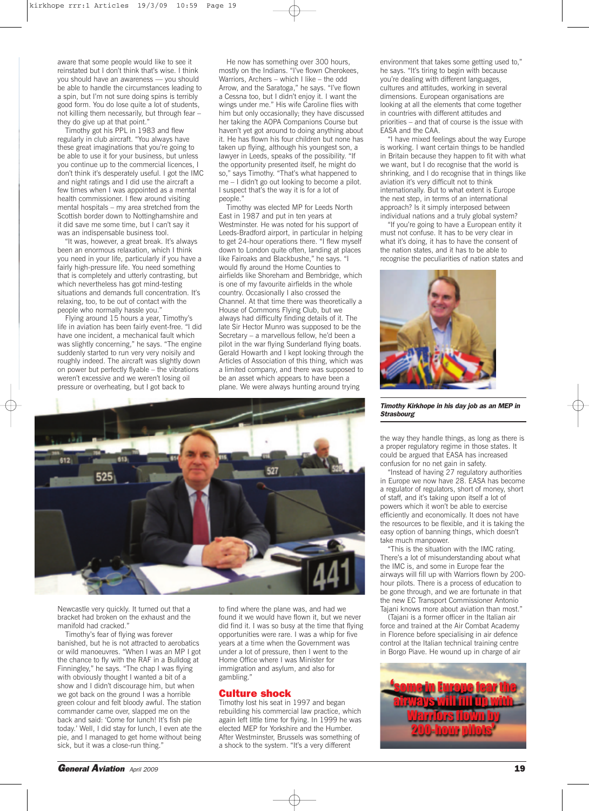aware that some people would like to see it reinstated but I don't think that's wise. I think you should have an awareness — you should be able to handle the circumstances leading to a spin, but I'm not sure doing spins is terribly good form. You do lose quite a lot of students, not killing them necessarily, but through fear – they do give up at that point."

Timothy got his PPL in 1983 and flew regularly in club aircraft. "You always have these great imaginations that you're going to be able to use it for your business, but unless you continue up to the commercial licences, I don't think it's desperately useful. I got the IMC and night ratings and I did use the aircraft a few times when I was appointed as a mental health commissioner. I flew around visiting mental hospitals – my area stretched from the Scottish border down to Nottinghamshire and it did save me some time, but I can't say it was an indispensable business tool.

"It was, however, a great break. It's always been an enormous relaxation, which I think you need in your life, particularly if you have a fairly high-pressure life. You need something that is completely and utterly contrasting, but which nevertheless has got mind-testing situations and demands full concentration. It's relaxing, too, to be out of contact with the people who normally hassle you."

Flying around 15 hours a year, Timothy's life in aviation has been fairly event-free. "I did have one incident, a mechanical fault which was slightly concerning," he says. "The engine suddenly started to run very very noisily and roughly indeed. The aircraft was slightly down on power but perfectly flyable – the vibrations weren't excessive and we weren't losing oil pressure or overheating, but I got back to

He now has something over 300 hours, mostly on the Indians. "I've flown Cherokees, Warriors, Archers – which I like – the odd Arrow, and the Saratoga," he says. "I've flown a Cessna too, but I didn't enjoy it. I want the wings under me." His wife Caroline flies with him but only occasionally; they have discussed her taking the AOPA Companions Course but haven't yet got around to doing anything about it. He has flown his four children but none has taken up flying, although his youngest son, a lawyer in Leeds, speaks of the possibility. "If the opportunity presented itself, he might do so," says Timothy. "That's what happened to me – I didn't go out looking to become a pilot. I suspect that's the way it is for a lot of people."

Timothy was elected MP for Leeds North East in 1987 and put in ten years at Westminster. He was noted for his support of Leeds-Bradford airport, in particular in helping to get 24-hour operations there. "I flew myself down to London quite often, landing at places like Fairoaks and Blackbushe," he says. "I would fly around the Home Counties to airfields like Shoreham and Bembridge, which is one of my favourite airfields in the whole country. Occasionally I also crossed the Channel. At that time there was theoretically a House of Commons Flying Club, but we always had difficulty finding details of it. The late Sir Hector Munro was supposed to be the Secretary – a marvellous fellow, he'd been a pilot in the war flying Sunderland flying boats. Gerald Howarth and I kept looking through the Articles of Association of this thing, which was a limited company, and there was supposed to be an asset which appears to have been a plane. We were always hunting around trying



Newcastle very quickly. It turned out that a bracket had broken on the exhaust and the manifold had cracked."

Timothy's fear of flying was forever banished, but he is not attracted to aerobatics or wild manoeuvres. "When I was an MP I got the chance to fly with the RAF in a Bulldog at Finningley," he says. "The chap I was flying with obviously thought I wanted a bit of a show and I didn't discourage him, but when we got back on the ground I was a horrible green colour and felt bloody awful. The station commander came over, slapped me on the back and said: 'Come for lunch! It's fish pie today.' Well, I did stay for lunch, I even ate the pie, and I managed to get home without being sick, but it was a close-run thing.'

to find where the plane was, and had we found it we would have flown it, but we never did find it. I was so busy at the time that flying opportunities were rare. I was a whip for five years at a time when the Government was under a lot of pressure, then I went to the Home Office where I was Minister for immigration and asylum, and also for gambling."

## **Culture shock**

Timothy lost his seat in 1997 and began rebuilding his commercial law practice, which again left little time for flying. In 1999 he was elected MEP for Yorkshire and the Humber. After Westminster, Brussels was something of a shock to the system. "It's a very different

environment that takes some getting used to," he says. "It's tiring to begin with because you're dealing with different languages, cultures and attitudes, working in several dimensions. European organisations are looking at all the elements that come together in countries with different attitudes and priorities – and that of course is the issue with EASA and the CAA.

"I have mixed feelings about the way Europe is working. I want certain things to be handled in Britain because they happen to fit with what we want, but I do recognise that the world is shrinking, and I do recognise that in things like aviation it's very difficult not to think internationally. But to what extent is Europe the next step, in terms of an international approach? Is it simply interposed between individual nations and a truly global system?

"If you're going to have a European entity it must not confuse. It has to be very clear in what it's doing, it has to have the consent of the nation states, and it has to be able to recognise the peculiarities of nation states and



*Timothy Kirkhope in his day job as an MEP in Strasbourg*

the way they handle things, as long as there is a proper regulatory regime in those states. It could be argued that EASA has increased confusion for no net gain in safety.

"Instead of having 27 regulatory authorities in Europe we now have 28. EASA has become a regulator of regulators, short of money, short of staff, and it's taking upon itself a lot of powers which it won't be able to exercise efficiently and economically. It does not have the resources to be flexible, and it is taking the easy option of banning things, which doesn't take much manpower.

"This is the situation with the IMC rating. There's a lot of misunderstanding about what the IMC is, and some in Europe fear the airways will fill up with Warriors flown by 200 hour pilots. There is a process of education to be gone through, and we are fortunate in that the new EC Transport Commissioner Antonio Tajani knows more about aviation than most."

(Tajani is a former officer in the Italian air force and trained at the Air Combat Academy in Florence before specialising in air defence control at the Italian technical training centre in Borgo Piave. He wound up in charge of air